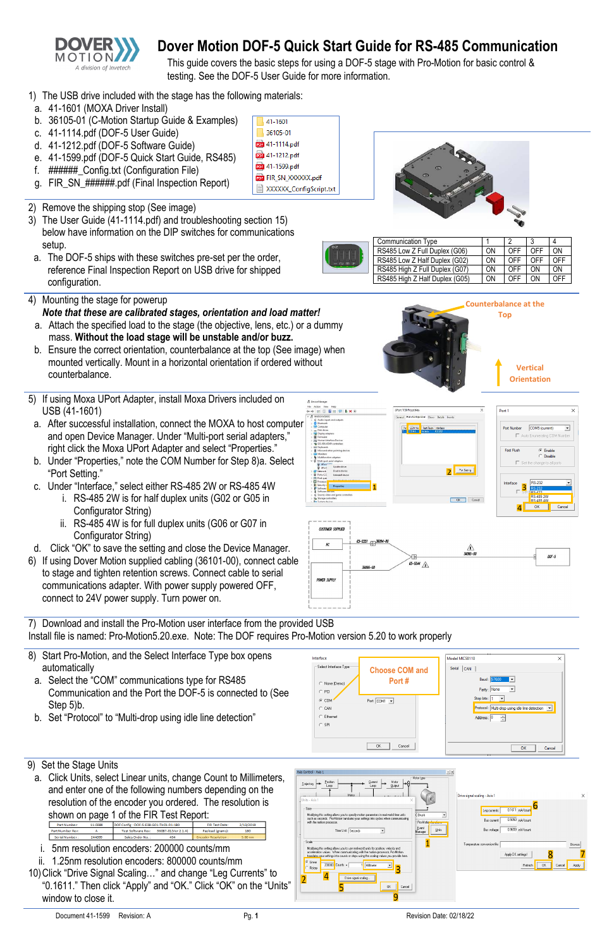

# **Dover Motion DOF-5 Quick Start Guide for RS-485 Communication**

- 1) The USB drive included with the stage has the following materials:
- a. 41-1601 (MOXA Driver Install)
- b. 36105-01 (C-Motion Startup Guide & Examples)
- c. 41-1114.pdf (DOF-5 User Guide)
- d. 41-1212.pdf (DOF-5 Software Guide)
- e. 41-1599.pdf (DOF-5 Quick Start Guide, RS485)
- f. ######\_Config.txt (Configuration File)
- g. FIR SN ######.pdf (Final Inspection Report)
- 41-1601 36105-01 **por** 41-1114.pdf **pdf** 41-1212.pdf pp. 41-1599.pdf **FOR** FIR SN\_XXXXXX.pdf XXXXXX\_ConfigScript.txt



This guide covers the basic steps for using a DOF-5 stage with Pro-Motion for basic control & testing. See the DOF-5 User Guide for more information.

| num t | <b>Communication Type</b>      |           |     |                |     |
|-------|--------------------------------|-----------|-----|----------------|-----|
|       | RS485 Low Z Full Duplex (G06)  | ON        | OFF | OFF            | ON  |
|       | RS485 Low Z Half Duplex (G02)  | ON        | OFF | OFF            | OFF |
|       | RS485 High Z Full Duplex (G07) | <b>ON</b> | OFF | 0 <sub>N</sub> | ΩN  |
|       | RS485 High Z Half Duplex (G05) | ON        | OFF | 0 <sub>N</sub> | ∩FF |

- 2) Remove the shipping stop (See image)
- 3) The User Guide (41-1114.pdf) and troubleshooting section [15\)](#page-1-0) below have information on the DIP switches for communications setup.
- a. The DOF-5 ships with these switches pre-set per the order, reference Final Inspection Report on USB drive for shipped configuration.
- 4) Mounting the stage for powerup *Note that these are calibrated stages, orientation and load matter!* 
	- a. Attach the specified load to the stage (the objective, lens, etc.) or a dummy mass. **Without the load stage will be unstable and/or buzz.**
	- b. Ensure the correct orientation, counterbalance at the top (See image) when mounted vertically. Mount in a horizontal orientation if ordered without counterbalance.
- 5) If using Moxa UPort Adapter, install Moxa Drivers included on USB (41-1601)
- a. After successful installation, connect the MOXA to host computer and open Device Manager. Under "Multi-port serial adapters," right click the Moxa UPort Adapter and select "Properties."
- <span id="page-0-1"></span>b. Under "Properties," note the COM Number for Step [8\)a.](#page-0-0) Select "Port Setting."
- c. Under "Interface," select either RS-485 2W or RS-485 4W
	- i. RS-485 2W is for half duplex units (G02 or G05 in Configurator String)
	- ii. RS-485 4W is for full duplex units (G06 or G07 in Configurator String)
- d. Click "OK" to save the setting and close the Device Manager.
- 6) If using Dover Motion supplied cabling (36101-00), connect cable to stage and tighten retention screws. Connect cable to serial communications adapter. With power supply powered OFF, connect to 24V power supply. Turn power on.

7) Download and install the Pro-Motion user interface from the provided USB Install file is named: Pro-Motion5.20.exe. Note: The DOF requires Pro-Motion version 5.20 to work properly

- 8) Start Pro-Motion, and the Select Interface Type box opens automatically
- <span id="page-0-0"></span>a. Select the "COM" communications type for RS485 Communication and the Port the DOF-5 is connected to (See

Step [5\)b.](#page-0-1)

b. Set "Protocol" to "Multi-drop using idle line detection"

| $C$ COM <sup><math>\cdot</math></sup><br>$C$ CAN<br>$C$ Ethernet<br>$C$ SPI | Port: COM1<br>$\overline{\phantom{a}}$ | . .<br>Protocol: Multi-drop using idle line detection v<br>Address: 0<br>÷ |
|-----------------------------------------------------------------------------|----------------------------------------|----------------------------------------------------------------------------|
|                                                                             | Cancel<br>0K                           | OK<br>Cancel                                                               |

- 9) Set the Stage Units
	- a. Click Units, select Linear units, change Count to Millimeters, and enter one of the following numbers depending on the resolution of the encoder you ordered. The resolution is shown on page 1 of the FIR Test Report:

| Part Number:     | 11-0389 | DOF Config: DOF-5-E38-G01-TH01-R1-180 |                     | <b>FIR Test Date:</b>      | 2/13/2019 |
|------------------|---------|---------------------------------------|---------------------|----------------------------|-----------|
| Part Number Rev: |         | <b>Test Software Rev:</b>             | 36087-01(Ver 2.1.4) | Payload (grams):           | 180       |
| Serial Number :  | 244099  | Sales Order No. 1                     | 454                 | <b>Encoder Resolution:</b> | $5.00$ nm |

- i. 5nm resolution encoders: 200000 counts/mm
- ii. 1.25nm resolution encoders: 800000 counts/mm 10)Click "Drive Signal Scaling…" and change "Leg Currents" to "0.1611." Then click "Apply" and "OK." Click "OK" on the "Units" window to close it.







 $\overline{\phantom{a}}$ 

Cance



**Top** 





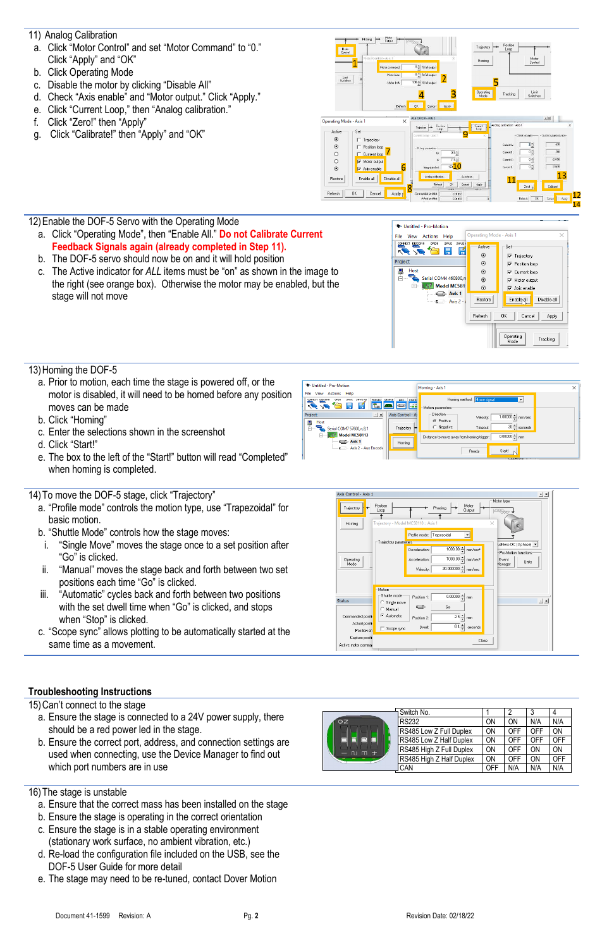- <span id="page-1-1"></span>11) Analog Calibration
- a. Click "Motor Control" and set "Motor Command" to "0." Click "Apply" and "OK"
- b. Click Operating Mode
- c. Disable the motor by clicking "Disable All"
- d. Check "Axis enable" and "Motor output." Click "Apply."
- e. Click "Current Loop," then "Analog calibration."
- f. Click "Zero!" then "Apply"
- g. Click "Calibrate!" then "Apply" and "OK"



Auto tune.

Cancel

0.01959

Apply

Refrech  $CK$ 

Enable all | Disable all

Apply

Cancel

Restor

Refresh



- a. Click "Operating Mode", then "Enable All." **Do not Calibrate Current Feedback Signals again (already completed in Step [11\).](#page-1-1)**
- b. The DOF-5 servo should now be on and it will hold position
- c. The Active indicator for *ALL* items must be "on" as shown in the image to the right (see orange box). Otherwise the motor may be enabled, but the stage will not move



 $13$ 

Cancel Appy

## 13)Homing the DOF-5

- a. Prior to motion, each time the stage is powered off, or the motor is disabled, it will need to be homed before any position moves can be made
- b. Click "Homing"
- c. Enter the selections shown in the screenshot
- d. Click "Start!"
- e. The box to the left of the "Start!" button will read "Completed" when homing is completed.

### 14)To move the DOF-5 stage, click "Trajectory"

- a. "Profile mode" controls the motion type, use "Trapezoidal" for basic motion.
- b. "Shuttle Mode" controls how the stage moves:
- i. "Single Move" moves the stage once to a set position after "Go" is clicked.
- ii. "Manual" moves the stage back and forth between two set positions each time "Go" is clicked.
- iii. "Automatic" cycles back and forth between two positions with the set dwell time when "Go" is clicked, and stops when "Stop" is clicked.
- c. "Scope sync" allows plotting to be automatically started at the same time as a movement.





<span id="page-1-0"></span>15)Can't connect to the stage

- a. Ensure the stage is connected to a 24V power supply, there should be a red power led in the stage.
- b. Ensure the correct port, address, and connection settings are used when connecting, use the Device Manager to find out which port numbers are in use

|              | Switch No.               |     | ŋ   |     | 4   |
|--------------|--------------------------|-----|-----|-----|-----|
| OZ           | <b>RS232</b>             | ON  | ON  | N/A | N/A |
|              | RS485 Low Z Full Duplex  | ON  | OFF | OFF | ON  |
|              | RS485 Low Z Half Duplex  | ON  | OFF | OFF | OFF |
| 士<br>m<br>ÆU | RS485 High Z Full Duplex | ON  | OFF | ON  | ON  |
|              | RS485 High Z Half Duplex | ON  | OFF | ON  | OFF |
|              | CAN                      | OFF | N/A | N/A | N/A |

### 16)The stage is unstable

- a. Ensure that the correct mass has been installed on the stage
- b. Ensure the stage is operating in the correct orientation
- c. Ensure the stage is in a stable operating environment (stationary work surface, no ambient vibration, etc.)
- d. Re-load the configuration file included on the USB, see the DOF-5 User Guide for more detail
- e. The stage may need to be re-tuned, contact Dover Motion